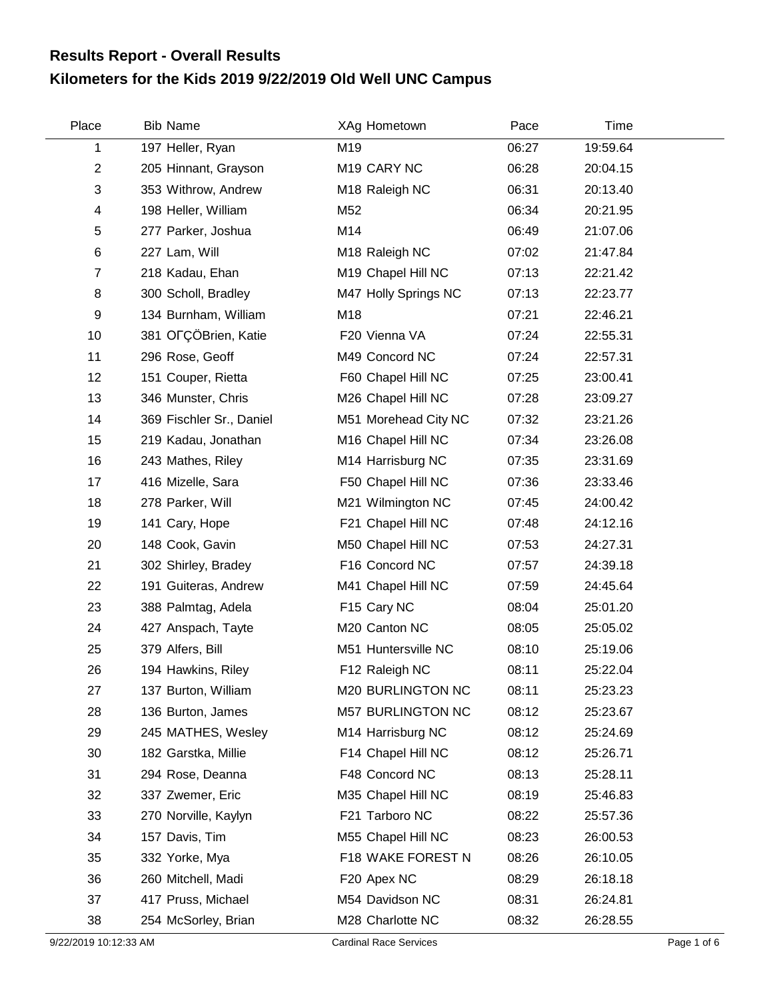## **Kilometers for the Kids 2019 9/22/2019 Old Well UNC Campus Results Report - Overall Results**

| Place          | <b>Bib Name</b>          | XAg Hometown            | Pace  | Time     |  |
|----------------|--------------------------|-------------------------|-------|----------|--|
| 1              | 197 Heller, Ryan         | M19                     | 06:27 | 19:59.64 |  |
| $\overline{2}$ | 205 Hinnant, Grayson     | M <sub>19</sub> CARY NC | 06:28 | 20:04.15 |  |
| 3              | 353 Withrow, Andrew      | M18 Raleigh NC          | 06:31 | 20:13.40 |  |
| 4              | 198 Heller, William      | M52                     | 06:34 | 20:21.95 |  |
| 5              | 277 Parker, Joshua       | M14                     | 06:49 | 21:07.06 |  |
| 6              | 227 Lam, Will            | M18 Raleigh NC          | 07:02 | 21:47.84 |  |
| $\overline{7}$ | 218 Kadau, Ehan          | M19 Chapel Hill NC      | 07:13 | 22:21.42 |  |
| 8              | 300 Scholl, Bradley      | M47 Holly Springs NC    | 07:13 | 22:23.77 |  |
| 9              | 134 Burnham, William     | M18                     | 07:21 | 22:46.21 |  |
| 10             | 381 OFÇÖBrien, Katie     | F20 Vienna VA           | 07:24 | 22:55.31 |  |
| 11             | 296 Rose, Geoff          | M49 Concord NC          | 07:24 | 22:57.31 |  |
| 12             | 151 Couper, Rietta       | F60 Chapel Hill NC      | 07:25 | 23:00.41 |  |
| 13             | 346 Munster, Chris       | M26 Chapel Hill NC      | 07:28 | 23:09.27 |  |
| 14             | 369 Fischler Sr., Daniel | M51 Morehead City NC    | 07:32 | 23:21.26 |  |
| 15             | 219 Kadau, Jonathan      | M16 Chapel Hill NC      | 07:34 | 23:26.08 |  |
| 16             | 243 Mathes, Riley        | M14 Harrisburg NC       | 07:35 | 23:31.69 |  |
| 17             | 416 Mizelle, Sara        | F50 Chapel Hill NC      | 07:36 | 23:33.46 |  |
| 18             | 278 Parker, Will         | M21 Wilmington NC       | 07:45 | 24:00.42 |  |
| 19             | 141 Cary, Hope           | F21 Chapel Hill NC      | 07:48 | 24:12.16 |  |
| 20             | 148 Cook, Gavin          | M50 Chapel Hill NC      | 07:53 | 24:27.31 |  |
| 21             | 302 Shirley, Bradey      | F16 Concord NC          | 07:57 | 24:39.18 |  |
| 22             | 191 Guiteras, Andrew     | M41 Chapel Hill NC      | 07:59 | 24:45.64 |  |
| 23             | 388 Palmtag, Adela       | F15 Cary NC             | 08:04 | 25:01.20 |  |
| 24             | 427 Anspach, Tayte       | M20 Canton NC           | 08:05 | 25:05.02 |  |
| 25             | 379 Alfers, Bill         | M51 Huntersville NC     | 08:10 | 25:19.06 |  |
| 26             | 194 Hawkins, Riley       | F12 Raleigh NC          | 08:11 | 25:22.04 |  |
| 27             | 137 Burton, William      | M20 BURLINGTON NC       | 08:11 | 25:23.23 |  |
| 28             | 136 Burton, James        | M57 BURLINGTON NC       | 08:12 | 25:23.67 |  |
| 29             | 245 MATHES, Wesley       | M14 Harrisburg NC       | 08:12 | 25:24.69 |  |
| 30             | 182 Garstka, Millie      | F14 Chapel Hill NC      | 08:12 | 25:26.71 |  |
| 31             | 294 Rose, Deanna         | F48 Concord NC          | 08:13 | 25:28.11 |  |
| 32             | 337 Zwemer, Eric         | M35 Chapel Hill NC      | 08:19 | 25:46.83 |  |
| 33             | 270 Norville, Kaylyn     | F21 Tarboro NC          | 08:22 | 25:57.36 |  |
| 34             | 157 Davis, Tim           | M55 Chapel Hill NC      | 08:23 | 26:00.53 |  |
| 35             | 332 Yorke, Mya           | F18 WAKE FOREST N       | 08:26 | 26:10.05 |  |
| 36             | 260 Mitchell, Madi       | F20 Apex NC             | 08:29 | 26:18.18 |  |
| 37             | 417 Pruss, Michael       | M54 Davidson NC         | 08:31 | 26:24.81 |  |
| 38             | 254 McSorley, Brian      | M28 Charlotte NC        | 08:32 | 26:28.55 |  |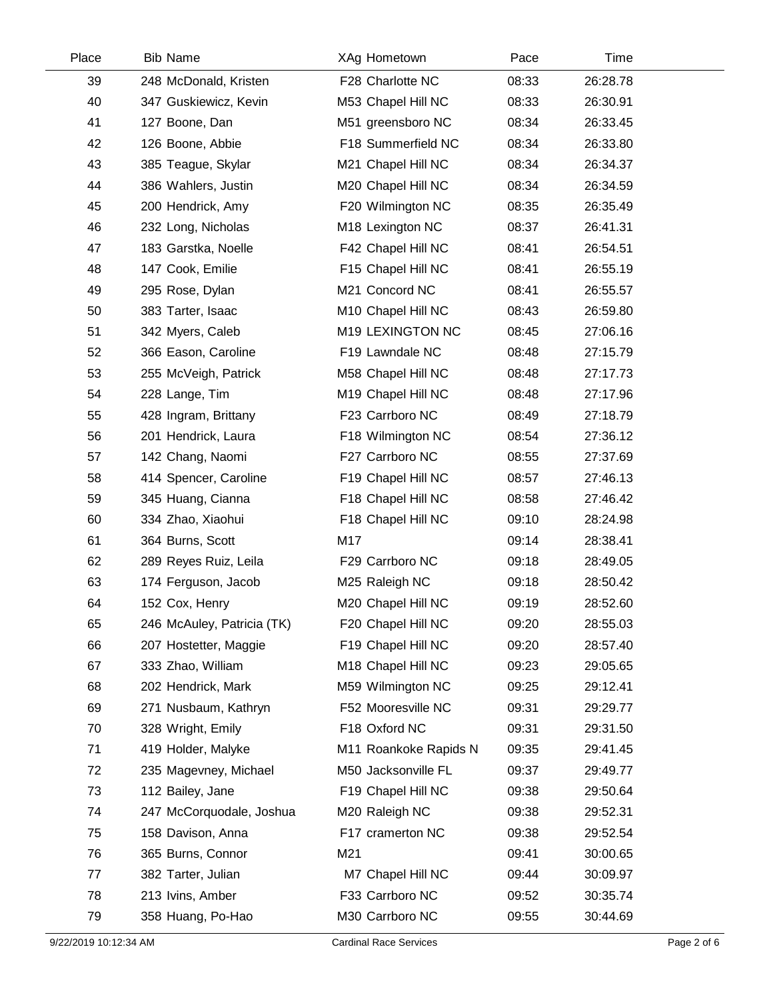| Place | <b>Bib Name</b>            | XAg Hometown          | Pace  | Time     |  |
|-------|----------------------------|-----------------------|-------|----------|--|
| 39    | 248 McDonald, Kristen      | F28 Charlotte NC      | 08:33 | 26:28.78 |  |
| 40    | 347 Guskiewicz, Kevin      | M53 Chapel Hill NC    | 08:33 | 26:30.91 |  |
| 41    | 127 Boone, Dan             | M51 greensboro NC     | 08:34 | 26:33.45 |  |
| 42    | 126 Boone, Abbie           | F18 Summerfield NC    | 08:34 | 26:33.80 |  |
| 43    | 385 Teague, Skylar         | M21 Chapel Hill NC    | 08:34 | 26:34.37 |  |
| 44    | 386 Wahlers, Justin        | M20 Chapel Hill NC    | 08:34 | 26:34.59 |  |
| 45    | 200 Hendrick, Amy          | F20 Wilmington NC     | 08:35 | 26:35.49 |  |
| 46    | 232 Long, Nicholas         | M18 Lexington NC      | 08:37 | 26:41.31 |  |
| 47    | 183 Garstka, Noelle        | F42 Chapel Hill NC    | 08:41 | 26:54.51 |  |
| 48    | 147 Cook, Emilie           | F15 Chapel Hill NC    | 08:41 | 26:55.19 |  |
| 49    | 295 Rose, Dylan            | M21 Concord NC        | 08:41 | 26:55.57 |  |
| 50    | 383 Tarter, Isaac          | M10 Chapel Hill NC    | 08:43 | 26:59.80 |  |
| 51    | 342 Myers, Caleb           | M19 LEXINGTON NC      | 08:45 | 27:06.16 |  |
| 52    | 366 Eason, Caroline        | F19 Lawndale NC       | 08:48 | 27:15.79 |  |
| 53    | 255 McVeigh, Patrick       | M58 Chapel Hill NC    | 08:48 | 27:17.73 |  |
| 54    | 228 Lange, Tim             | M19 Chapel Hill NC    | 08:48 | 27:17.96 |  |
| 55    | 428 Ingram, Brittany       | F23 Carrboro NC       | 08:49 | 27:18.79 |  |
| 56    | 201 Hendrick, Laura        | F18 Wilmington NC     | 08:54 | 27:36.12 |  |
| 57    | 142 Chang, Naomi           | F27 Carrboro NC       | 08:55 | 27:37.69 |  |
| 58    | 414 Spencer, Caroline      | F19 Chapel Hill NC    | 08:57 | 27:46.13 |  |
| 59    | 345 Huang, Cianna          | F18 Chapel Hill NC    | 08:58 | 27:46.42 |  |
| 60    | 334 Zhao, Xiaohui          | F18 Chapel Hill NC    | 09:10 | 28:24.98 |  |
| 61    | 364 Burns, Scott           | M17                   | 09:14 | 28:38.41 |  |
| 62    | 289 Reyes Ruiz, Leila      | F29 Carrboro NC       | 09:18 | 28:49.05 |  |
| 63    | 174 Ferguson, Jacob        | M25 Raleigh NC        | 09:18 | 28:50.42 |  |
| 64    | 152 Cox, Henry             | M20 Chapel Hill NC    | 09:19 | 28:52.60 |  |
| 65    | 246 McAuley, Patricia (TK) | F20 Chapel Hill NC    | 09:20 | 28:55.03 |  |
| 66    | 207 Hostetter, Maggie      | F19 Chapel Hill NC    | 09:20 | 28:57.40 |  |
| 67    | 333 Zhao, William          | M18 Chapel Hill NC    | 09:23 | 29:05.65 |  |
| 68    | 202 Hendrick, Mark         | M59 Wilmington NC     | 09:25 | 29:12.41 |  |
| 69    | 271 Nusbaum, Kathryn       | F52 Mooresville NC    | 09:31 | 29:29.77 |  |
| 70    | 328 Wright, Emily          | F18 Oxford NC         | 09:31 | 29:31.50 |  |
| 71    | 419 Holder, Malyke         | M11 Roankoke Rapids N | 09:35 | 29:41.45 |  |
| 72    | 235 Magevney, Michael      | M50 Jacksonville FL   | 09:37 | 29:49.77 |  |
| 73    | 112 Bailey, Jane           | F19 Chapel Hill NC    | 09:38 | 29:50.64 |  |
| 74    | 247 McCorquodale, Joshua   | M20 Raleigh NC        | 09:38 | 29:52.31 |  |
| 75    | 158 Davison, Anna          | F17 cramerton NC      | 09:38 | 29:52.54 |  |
| 76    | 365 Burns, Connor          | M21                   | 09:41 | 30:00.65 |  |
| 77    | 382 Tarter, Julian         | M7 Chapel Hill NC     | 09:44 | 30:09.97 |  |
| 78    | 213 Ivins, Amber           | F33 Carrboro NC       | 09:52 | 30:35.74 |  |
| 79    | 358 Huang, Po-Hao          | M30 Carrboro NC       | 09:55 | 30:44.69 |  |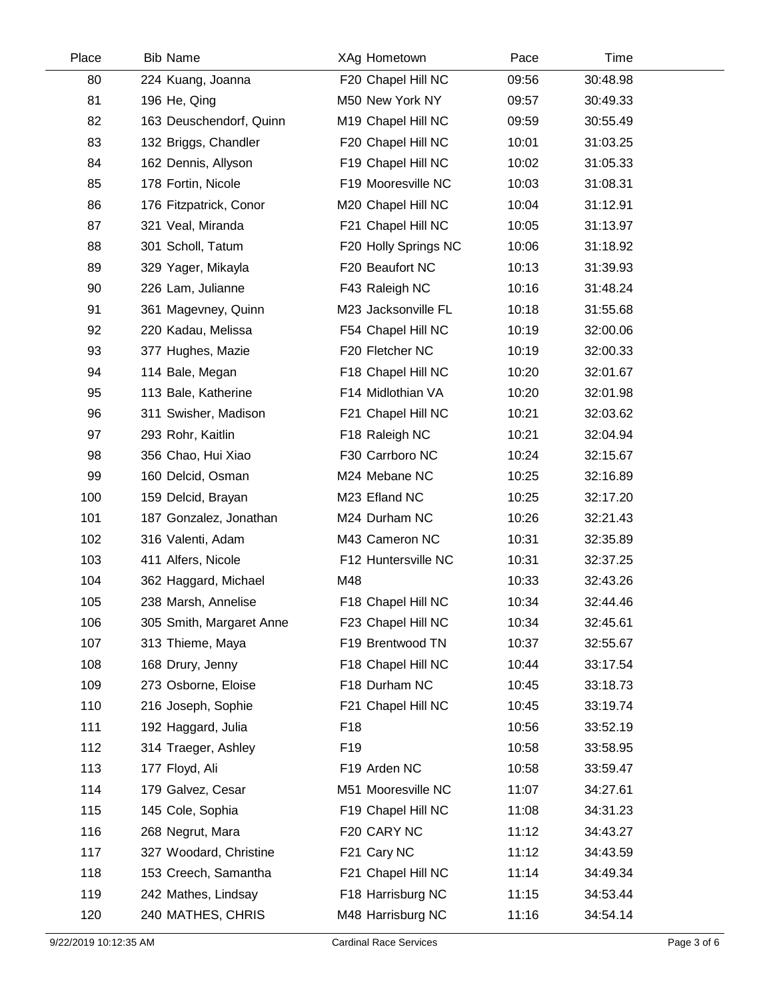| Place | <b>Bib Name</b>          | XAg Hometown         | Pace  | Time     |  |
|-------|--------------------------|----------------------|-------|----------|--|
| 80    | 224 Kuang, Joanna        | F20 Chapel Hill NC   | 09:56 | 30:48.98 |  |
| 81    | 196 He, Qing             | M50 New York NY      | 09:57 | 30:49.33 |  |
| 82    | 163 Deuschendorf, Quinn  | M19 Chapel Hill NC   | 09:59 | 30:55.49 |  |
| 83    | 132 Briggs, Chandler     | F20 Chapel Hill NC   | 10:01 | 31:03.25 |  |
| 84    | 162 Dennis, Allyson      | F19 Chapel Hill NC   | 10:02 | 31:05.33 |  |
| 85    | 178 Fortin, Nicole       | F19 Mooresville NC   | 10:03 | 31:08.31 |  |
| 86    | 176 Fitzpatrick, Conor   | M20 Chapel Hill NC   | 10:04 | 31:12.91 |  |
| 87    | 321 Veal, Miranda        | F21 Chapel Hill NC   | 10:05 | 31:13.97 |  |
| 88    | 301 Scholl, Tatum        | F20 Holly Springs NC | 10:06 | 31:18.92 |  |
| 89    | 329 Yager, Mikayla       | F20 Beaufort NC      | 10:13 | 31:39.93 |  |
| 90    | 226 Lam, Julianne        | F43 Raleigh NC       | 10:16 | 31:48.24 |  |
| 91    | 361 Magevney, Quinn      | M23 Jacksonville FL  | 10:18 | 31:55.68 |  |
| 92    | 220 Kadau, Melissa       | F54 Chapel Hill NC   | 10:19 | 32:00.06 |  |
| 93    | 377 Hughes, Mazie        | F20 Fletcher NC      | 10:19 | 32:00.33 |  |
| 94    | 114 Bale, Megan          | F18 Chapel Hill NC   | 10:20 | 32:01.67 |  |
| 95    | 113 Bale, Katherine      | F14 Midlothian VA    | 10:20 | 32:01.98 |  |
| 96    | 311 Swisher, Madison     | F21 Chapel Hill NC   | 10:21 | 32:03.62 |  |
| 97    | 293 Rohr, Kaitlin        | F18 Raleigh NC       | 10:21 | 32:04.94 |  |
| 98    | 356 Chao, Hui Xiao       | F30 Carrboro NC      | 10:24 | 32:15.67 |  |
| 99    | 160 Delcid, Osman        | M24 Mebane NC        | 10:25 | 32:16.89 |  |
| 100   | 159 Delcid, Brayan       | M23 Efland NC        | 10:25 | 32:17.20 |  |
| 101   | 187 Gonzalez, Jonathan   | M24 Durham NC        | 10:26 | 32:21.43 |  |
| 102   | 316 Valenti, Adam        | M43 Cameron NC       | 10:31 | 32:35.89 |  |
| 103   | 411 Alfers, Nicole       | F12 Huntersville NC  | 10:31 | 32:37.25 |  |
| 104   | 362 Haggard, Michael     | M48                  | 10:33 | 32:43.26 |  |
| 105   | 238 Marsh, Annelise      | F18 Chapel Hill NC   | 10:34 | 32:44.46 |  |
| 106   | 305 Smith, Margaret Anne | F23 Chapel Hill NC   | 10:34 | 32:45.61 |  |
| 107   | 313 Thieme, Maya         | F19 Brentwood TN     | 10:37 | 32:55.67 |  |
| 108   | 168 Drury, Jenny         | F18 Chapel Hill NC   | 10:44 | 33:17.54 |  |
| 109   | 273 Osborne, Eloise      | F18 Durham NC        | 10:45 | 33:18.73 |  |
| 110   | 216 Joseph, Sophie       | F21 Chapel Hill NC   | 10:45 | 33:19.74 |  |
| 111   | 192 Haggard, Julia       | F <sub>18</sub>      | 10:56 | 33:52.19 |  |
| 112   | 314 Traeger, Ashley      | F <sub>19</sub>      | 10:58 | 33:58.95 |  |
| 113   | 177 Floyd, Ali           | F19 Arden NC         | 10:58 | 33:59.47 |  |
| 114   | 179 Galvez, Cesar        | M51 Mooresville NC   | 11:07 | 34:27.61 |  |
| 115   | 145 Cole, Sophia         | F19 Chapel Hill NC   | 11:08 | 34:31.23 |  |
| 116   | 268 Negrut, Mara         | F20 CARY NC          | 11:12 | 34:43.27 |  |
| 117   | 327 Woodard, Christine   | F21 Cary NC          | 11:12 | 34:43.59 |  |
| 118   | 153 Creech, Samantha     | F21 Chapel Hill NC   | 11:14 | 34:49.34 |  |
| 119   | 242 Mathes, Lindsay      | F18 Harrisburg NC    | 11:15 | 34:53.44 |  |
| 120   | 240 MATHES, CHRIS        | M48 Harrisburg NC    | 11:16 | 34:54.14 |  |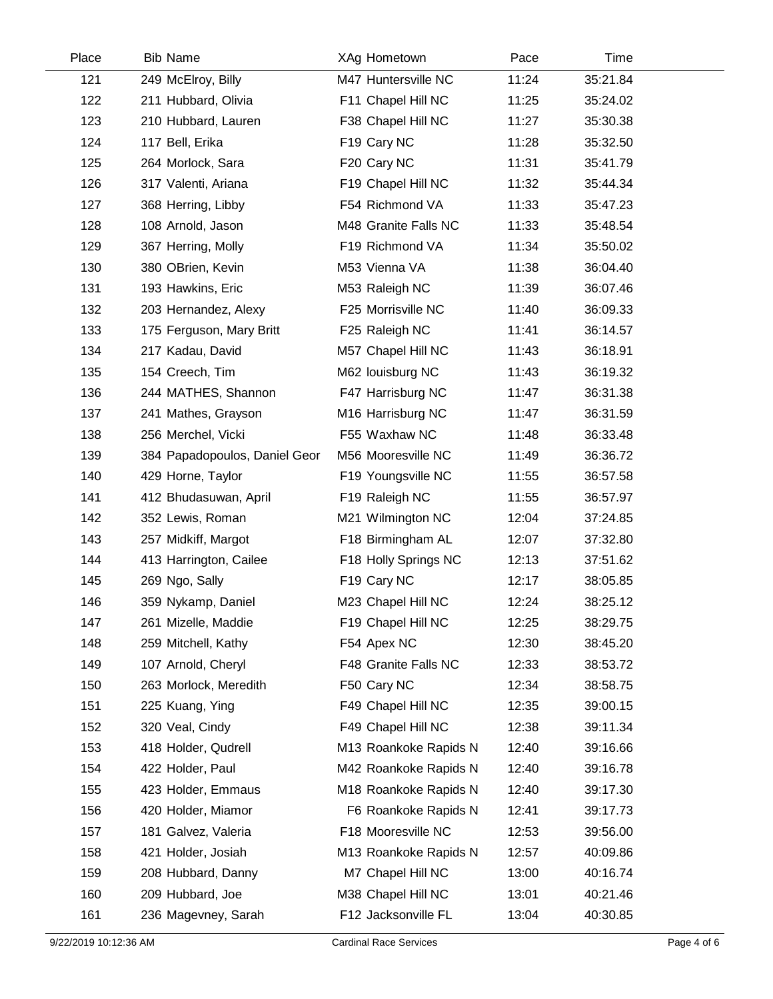| Place | <b>Bib Name</b>               | XAg Hometown          | Pace  | Time     |  |
|-------|-------------------------------|-----------------------|-------|----------|--|
| 121   | 249 McElroy, Billy            | M47 Huntersville NC   | 11:24 | 35:21.84 |  |
| 122   | 211 Hubbard, Olivia           | F11 Chapel Hill NC    | 11:25 | 35:24.02 |  |
| 123   | 210 Hubbard, Lauren           | F38 Chapel Hill NC    | 11:27 | 35:30.38 |  |
| 124   | 117 Bell, Erika               | F19 Cary NC           | 11:28 | 35:32.50 |  |
| 125   | 264 Morlock, Sara             | F20 Cary NC           | 11:31 | 35:41.79 |  |
| 126   | 317 Valenti, Ariana           | F19 Chapel Hill NC    | 11:32 | 35:44.34 |  |
| 127   | 368 Herring, Libby            | F54 Richmond VA       | 11:33 | 35:47.23 |  |
| 128   | 108 Arnold, Jason             | M48 Granite Falls NC  | 11:33 | 35:48.54 |  |
| 129   | 367 Herring, Molly            | F19 Richmond VA       | 11:34 | 35:50.02 |  |
| 130   | 380 OBrien, Kevin             | M53 Vienna VA         | 11:38 | 36:04.40 |  |
| 131   | 193 Hawkins, Eric             | M53 Raleigh NC        | 11:39 | 36:07.46 |  |
| 132   | 203 Hernandez, Alexy          | F25 Morrisville NC    | 11:40 | 36:09.33 |  |
| 133   | 175 Ferguson, Mary Britt      | F25 Raleigh NC        | 11:41 | 36:14.57 |  |
| 134   | 217 Kadau, David              | M57 Chapel Hill NC    | 11:43 | 36:18.91 |  |
| 135   | 154 Creech, Tim               | M62 louisburg NC      | 11:43 | 36:19.32 |  |
| 136   | 244 MATHES, Shannon           | F47 Harrisburg NC     | 11:47 | 36:31.38 |  |
| 137   | 241 Mathes, Grayson           | M16 Harrisburg NC     | 11:47 | 36:31.59 |  |
| 138   | 256 Merchel, Vicki            | F55 Waxhaw NC         | 11:48 | 36:33.48 |  |
| 139   | 384 Papadopoulos, Daniel Geor | M56 Mooresville NC    | 11:49 | 36:36.72 |  |
| 140   | 429 Horne, Taylor             | F19 Youngsville NC    | 11:55 | 36:57.58 |  |
| 141   | 412 Bhudasuwan, April         | F19 Raleigh NC        | 11:55 | 36:57.97 |  |
| 142   | 352 Lewis, Roman              | M21 Wilmington NC     | 12:04 | 37:24.85 |  |
| 143   | 257 Midkiff, Margot           | F18 Birmingham AL     | 12:07 | 37:32.80 |  |
| 144   | 413 Harrington, Cailee        | F18 Holly Springs NC  | 12:13 | 37:51.62 |  |
| 145   | 269 Ngo, Sally                | F19 Cary NC           | 12:17 | 38:05.85 |  |
| 146   | 359 Nykamp, Daniel            | M23 Chapel Hill NC    | 12:24 | 38:25.12 |  |
| 147   | 261 Mizelle, Maddie           | F19 Chapel Hill NC    | 12:25 | 38:29.75 |  |
| 148   | 259 Mitchell, Kathy           | F54 Apex NC           | 12:30 | 38:45.20 |  |
| 149   | 107 Arnold, Cheryl            | F48 Granite Falls NC  | 12:33 | 38:53.72 |  |
| 150   | 263 Morlock, Meredith         | F50 Cary NC           | 12:34 | 38:58.75 |  |
| 151   | 225 Kuang, Ying               | F49 Chapel Hill NC    | 12:35 | 39:00.15 |  |
| 152   | 320 Veal, Cindy               | F49 Chapel Hill NC    | 12:38 | 39:11.34 |  |
| 153   | 418 Holder, Qudrell           | M13 Roankoke Rapids N | 12:40 | 39:16.66 |  |
| 154   | 422 Holder, Paul              | M42 Roankoke Rapids N | 12:40 | 39:16.78 |  |
| 155   | 423 Holder, Emmaus            | M18 Roankoke Rapids N | 12:40 | 39:17.30 |  |
| 156   | 420 Holder, Miamor            | F6 Roankoke Rapids N  | 12:41 | 39:17.73 |  |
| 157   | 181 Galvez, Valeria           | F18 Mooresville NC    | 12:53 | 39:56.00 |  |
| 158   | 421 Holder, Josiah            | M13 Roankoke Rapids N | 12:57 | 40:09.86 |  |
| 159   | 208 Hubbard, Danny            | M7 Chapel Hill NC     | 13:00 | 40:16.74 |  |
| 160   | 209 Hubbard, Joe              | M38 Chapel Hill NC    | 13:01 | 40:21.46 |  |
| 161   | 236 Magevney, Sarah           | F12 Jacksonville FL   | 13:04 | 40:30.85 |  |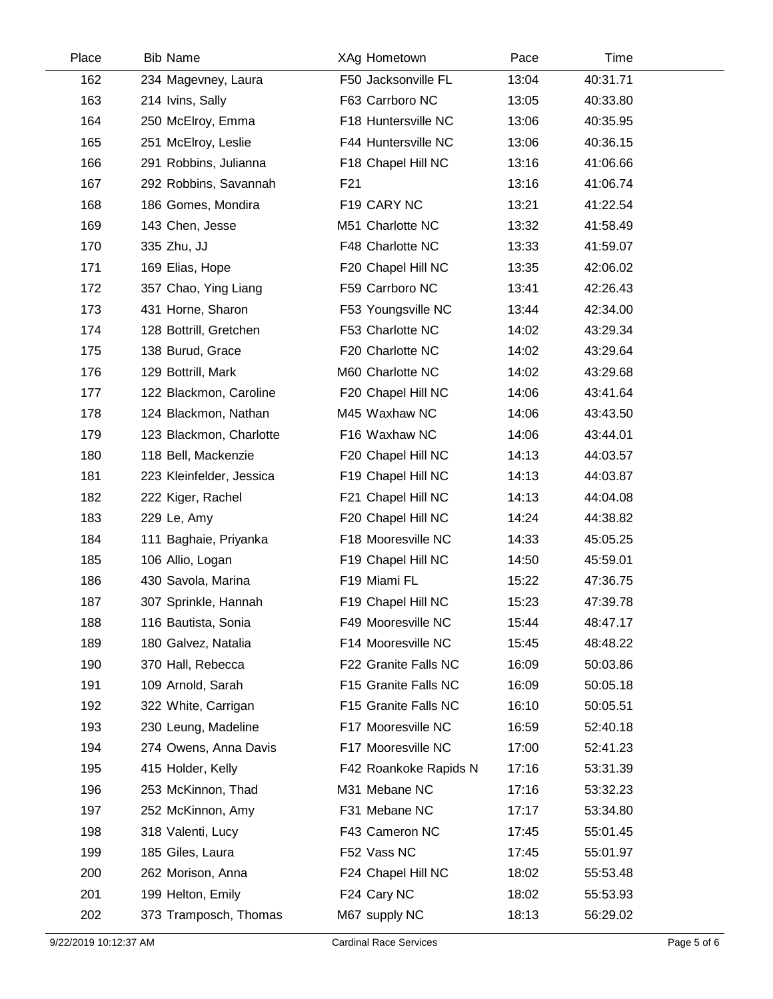| Place | <b>Bib Name</b>          | XAg Hometown          | Pace  | Time     |  |
|-------|--------------------------|-----------------------|-------|----------|--|
| 162   | 234 Magevney, Laura      | F50 Jacksonville FL   | 13:04 | 40:31.71 |  |
| 163   | 214 Ivins, Sally         | F63 Carrboro NC       | 13:05 | 40:33.80 |  |
| 164   | 250 McElroy, Emma        | F18 Huntersville NC   | 13:06 | 40:35.95 |  |
| 165   | 251 McElroy, Leslie      | F44 Huntersville NC   | 13:06 | 40:36.15 |  |
| 166   | 291 Robbins, Julianna    | F18 Chapel Hill NC    | 13:16 | 41:06.66 |  |
| 167   | 292 Robbins, Savannah    | F21                   | 13:16 | 41:06.74 |  |
| 168   | 186 Gomes, Mondira       | F19 CARY NC           | 13:21 | 41:22.54 |  |
| 169   | 143 Chen, Jesse          | M51 Charlotte NC      | 13:32 | 41:58.49 |  |
| 170   | 335 Zhu, JJ              | F48 Charlotte NC      | 13:33 | 41:59.07 |  |
| 171   | 169 Elias, Hope          | F20 Chapel Hill NC    | 13:35 | 42:06.02 |  |
| 172   | 357 Chao, Ying Liang     | F59 Carrboro NC       | 13:41 | 42:26.43 |  |
| 173   | 431 Horne, Sharon        | F53 Youngsville NC    | 13:44 | 42:34.00 |  |
| 174   | 128 Bottrill, Gretchen   | F53 Charlotte NC      | 14:02 | 43:29.34 |  |
| 175   | 138 Burud, Grace         | F20 Charlotte NC      | 14:02 | 43:29.64 |  |
| 176   | 129 Bottrill, Mark       | M60 Charlotte NC      | 14:02 | 43:29.68 |  |
| 177   | 122 Blackmon, Caroline   | F20 Chapel Hill NC    | 14:06 | 43:41.64 |  |
| 178   | 124 Blackmon, Nathan     | M45 Waxhaw NC         | 14:06 | 43:43.50 |  |
| 179   | 123 Blackmon, Charlotte  | F16 Waxhaw NC         | 14:06 | 43:44.01 |  |
| 180   | 118 Bell, Mackenzie      | F20 Chapel Hill NC    | 14:13 | 44:03.57 |  |
| 181   | 223 Kleinfelder, Jessica | F19 Chapel Hill NC    | 14:13 | 44:03.87 |  |
| 182   | 222 Kiger, Rachel        | F21 Chapel Hill NC    | 14:13 | 44:04.08 |  |
| 183   | 229 Le, Amy              | F20 Chapel Hill NC    | 14:24 | 44:38.82 |  |
| 184   | 111 Baghaie, Priyanka    | F18 Mooresville NC    | 14:33 | 45:05.25 |  |
| 185   | 106 Allio, Logan         | F19 Chapel Hill NC    | 14:50 | 45:59.01 |  |
| 186   | 430 Savola, Marina       | F19 Miami FL          | 15:22 | 47:36.75 |  |
| 187   | 307 Sprinkle, Hannah     | F19 Chapel Hill NC    | 15:23 | 47:39.78 |  |
| 188   | 116 Bautista, Sonia      | F49 Mooresville NC    | 15:44 | 48:47.17 |  |
| 189   | 180 Galvez, Natalia      | F14 Mooresville NC    | 15:45 | 48:48.22 |  |
| 190   | 370 Hall, Rebecca        | F22 Granite Falls NC  | 16:09 | 50:03.86 |  |
| 191   | 109 Arnold, Sarah        | F15 Granite Falls NC  | 16:09 | 50:05.18 |  |
| 192   | 322 White, Carrigan      | F15 Granite Falls NC  | 16:10 | 50:05.51 |  |
| 193   | 230 Leung, Madeline      | F17 Mooresville NC    | 16:59 | 52:40.18 |  |
| 194   | 274 Owens, Anna Davis    | F17 Mooresville NC    | 17:00 | 52:41.23 |  |
| 195   | 415 Holder, Kelly        | F42 Roankoke Rapids N | 17:16 | 53:31.39 |  |
| 196   | 253 McKinnon, Thad       | M31 Mebane NC         | 17:16 | 53:32.23 |  |
| 197   | 252 McKinnon, Amy        | F31 Mebane NC         | 17:17 | 53:34.80 |  |
| 198   | 318 Valenti, Lucy        | F43 Cameron NC        | 17:45 | 55:01.45 |  |
| 199   | 185 Giles, Laura         | F52 Vass NC           | 17:45 | 55:01.97 |  |
| 200   | 262 Morison, Anna        | F24 Chapel Hill NC    | 18:02 | 55:53.48 |  |
| 201   | 199 Helton, Emily        | F24 Cary NC           | 18:02 | 55:53.93 |  |
| 202   | 373 Tramposch, Thomas    | M67 supply NC         | 18:13 | 56:29.02 |  |